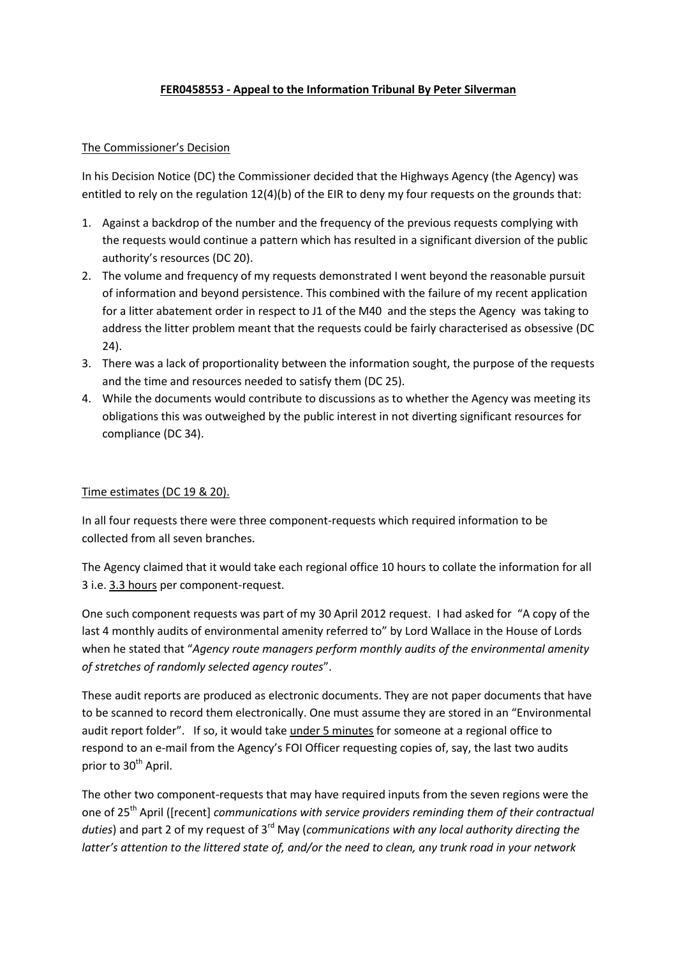# **FER0458553 - Appeal to the Information Tribunal By Peter Silverman**

#### The Commissioner's Decision

In his Decision Notice (DC) the Commissioner decided that the Highways Agency (the Agency) was entitled to rely on the regulation 12(4)(b) of the EIR to deny my four requests on the grounds that:

- 1. Against a backdrop of the number and the frequency of the previous requests complying with the requests would continue a pattern which has resulted in a significant diversion of the public authority's resources (DC 20).
- 2. The volume and frequency of my requests demonstrated I went beyond the reasonable pursuit of information and beyond persistence. This combined with the failure of my recent application for a litter abatement order in respect to J1 of the M40 and the steps the Agency was taking to address the litter problem meant that the requests could be fairly characterised as obsessive (DC 24).
- 3. There was a lack of proportionality between the information sought, the purpose of the requests and the time and resources needed to satisfy them (DC 25).
- 4. While the documents would contribute to discussions as to whether the Agency was meeting its obligations this was outweighed by the public interest in not diverting significant resources for compliance (DC 34).

#### Time estimates (DC 19 & 20).

In all four requests there were three component-requests which required information to be collected from all seven branches.

The Agency claimed that it would take each regional office 10 hours to collate the information for all 3 i.e. 3.3 hours per component-request.

One such component requests was part of my 30 April 2012 request. I had asked for "A copy of the last 4 monthly audits of environmental amenity referred to" by Lord Wallace in the House of Lords when he stated that "*Agency route managers perform monthly audits of the environmental amenity of stretches of randomly selected agency routes*".

These audit reports are produced as electronic documents. They are not paper documents that have to be scanned to record them electronically. One must assume they are stored in an "Environmental audit report folder". If so, it would take under 5 minutes for someone at a regional office to respond to an e-mail from the Agency's FOI Officer requesting copies of, say, the last two audits prior to 30<sup>th</sup> April.

The other two component-requests that may have required inputs from the seven regions were the one of 25th April ([recent] *communications with service providers reminding them of their contractual duties*) and part 2 of my request of 3rd May (*communications with any local authority directing the latter's attention to the littered state of, and/or the need to clean, any trunk road in your network*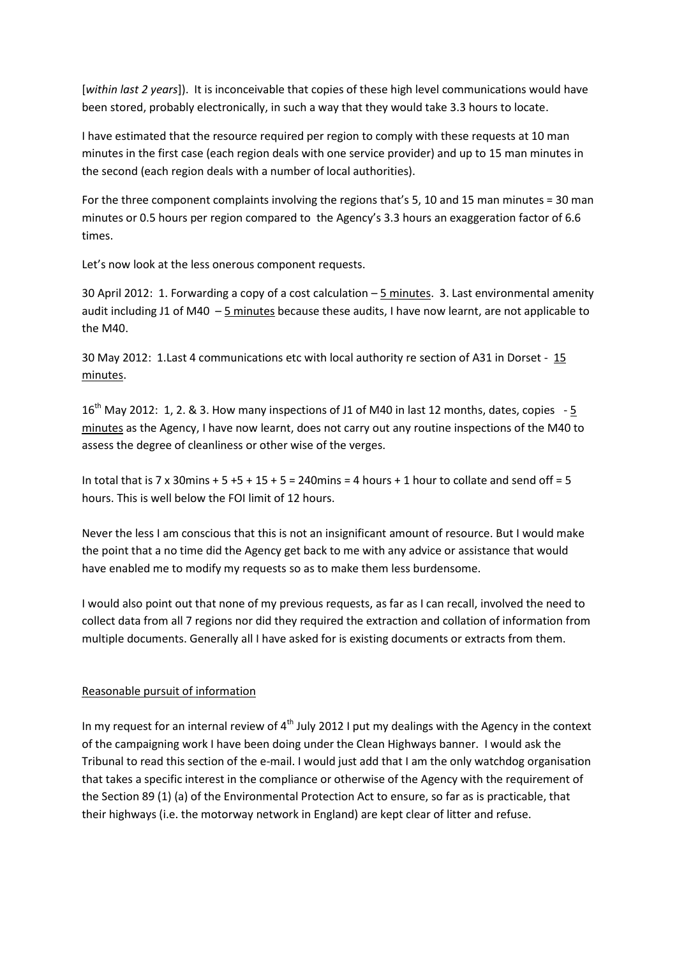[*within last 2 years*]). It is inconceivable that copies of these high level communications would have been stored, probably electronically, in such a way that they would take 3.3 hours to locate.

I have estimated that the resource required per region to comply with these requests at 10 man minutes in the first case (each region deals with one service provider) and up to 15 man minutes in the second (each region deals with a number of local authorities).

For the three component complaints involving the regions that's 5, 10 and 15 man minutes = 30 man minutes or 0.5 hours per region compared to the Agency's 3.3 hours an exaggeration factor of 6.6 times.

Let's now look at the less onerous component requests.

30 April 2012: 1. Forwarding a copy of a cost calculation – 5 minutes. 3. Last environmental amenity audit including J1 of M40  $-5$  minutes because these audits, I have now learnt, are not applicable to the M40.

30 May 2012: 1.Last 4 communications etc with local authority re section of A31 in Dorset - 15 minutes.

16<sup>th</sup> May 2012: 1, 2. & 3. How many inspections of J1 of M40 in last 12 months, dates, copies  $-5$ minutes as the Agency, I have now learnt, does not carry out any routine inspections of the M40 to assess the degree of cleanliness or other wise of the verges.

In total that is 7 x 30mins + 5 + 5 + 15 + 5 = 240mins = 4 hours + 1 hour to collate and send off = 5 hours. This is well below the FOI limit of 12 hours.

Never the less I am conscious that this is not an insignificant amount of resource. But I would make the point that a no time did the Agency get back to me with any advice or assistance that would have enabled me to modify my requests so as to make them less burdensome.

I would also point out that none of my previous requests, as far as I can recall, involved the need to collect data from all 7 regions nor did they required the extraction and collation of information from multiple documents. Generally all I have asked for is existing documents or extracts from them.

# Reasonable pursuit of information

In my request for an internal review of  $4<sup>th</sup>$  July 2012 I put my dealings with the Agency in the context of the campaigning work I have been doing under the Clean Highways banner. I would ask the Tribunal to read this section of the e-mail. I would just add that I am the only watchdog organisation that takes a specific interest in the compliance or otherwise of the Agency with the requirement of the Section 89 (1) (a) of the Environmental Protection Act to ensure, so far as is practicable, that their highways (i.e. the motorway network in England) are kept clear of litter and refuse.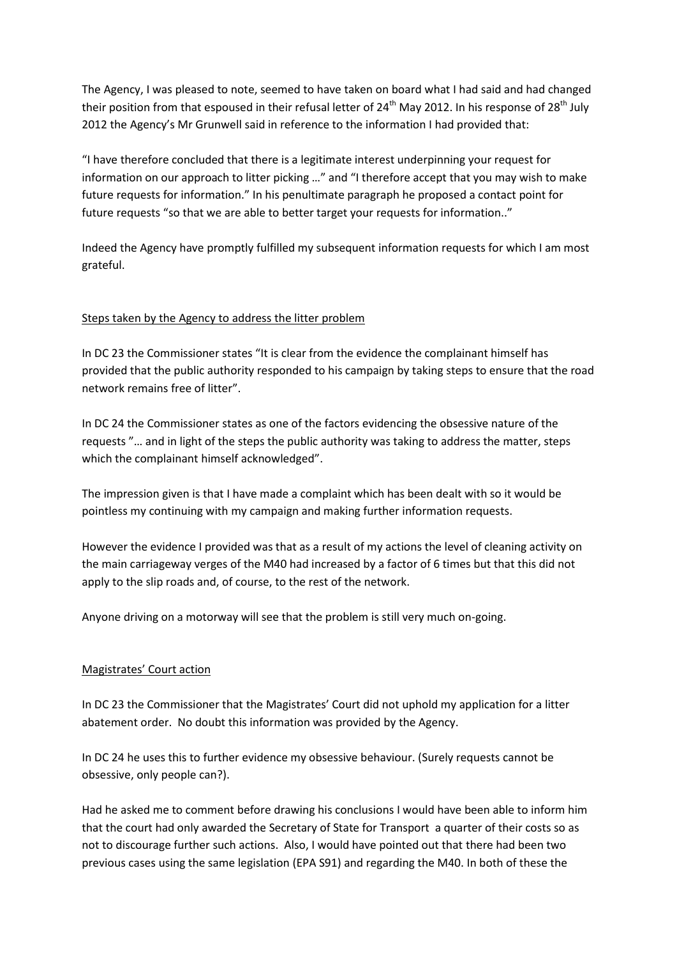The Agency, I was pleased to note, seemed to have taken on board what I had said and had changed their position from that espoused in their refusal letter of 24<sup>th</sup> May 2012. In his response of 28<sup>th</sup> July 2012 the Agency's Mr Grunwell said in reference to the information I had provided that:

"I have therefore concluded that there is a legitimate interest underpinning your request for information on our approach to litter picking …" and "I therefore accept that you may wish to make future requests for information." In his penultimate paragraph he proposed a contact point for future requests "so that we are able to better target your requests for information.."

Indeed the Agency have promptly fulfilled my subsequent information requests for which I am most grateful.

## Steps taken by the Agency to address the litter problem

In DC 23 the Commissioner states "It is clear from the evidence the complainant himself has provided that the public authority responded to his campaign by taking steps to ensure that the road network remains free of litter".

In DC 24 the Commissioner states as one of the factors evidencing the obsessive nature of the requests "… and in light of the steps the public authority was taking to address the matter, steps which the complainant himself acknowledged".

The impression given is that I have made a complaint which has been dealt with so it would be pointless my continuing with my campaign and making further information requests.

However the evidence I provided was that as a result of my actions the level of cleaning activity on the main carriageway verges of the M40 had increased by a factor of 6 times but that this did not apply to the slip roads and, of course, to the rest of the network.

Anyone driving on a motorway will see that the problem is still very much on-going.

#### Magistrates' Court action

In DC 23 the Commissioner that the Magistrates' Court did not uphold my application for a litter abatement order. No doubt this information was provided by the Agency.

In DC 24 he uses this to further evidence my obsessive behaviour. (Surely requests cannot be obsessive, only people can?).

Had he asked me to comment before drawing his conclusions I would have been able to inform him that the court had only awarded the Secretary of State for Transport a quarter of their costs so as not to discourage further such actions. Also, I would have pointed out that there had been two previous cases using the same legislation (EPA S91) and regarding the M40. In both of these the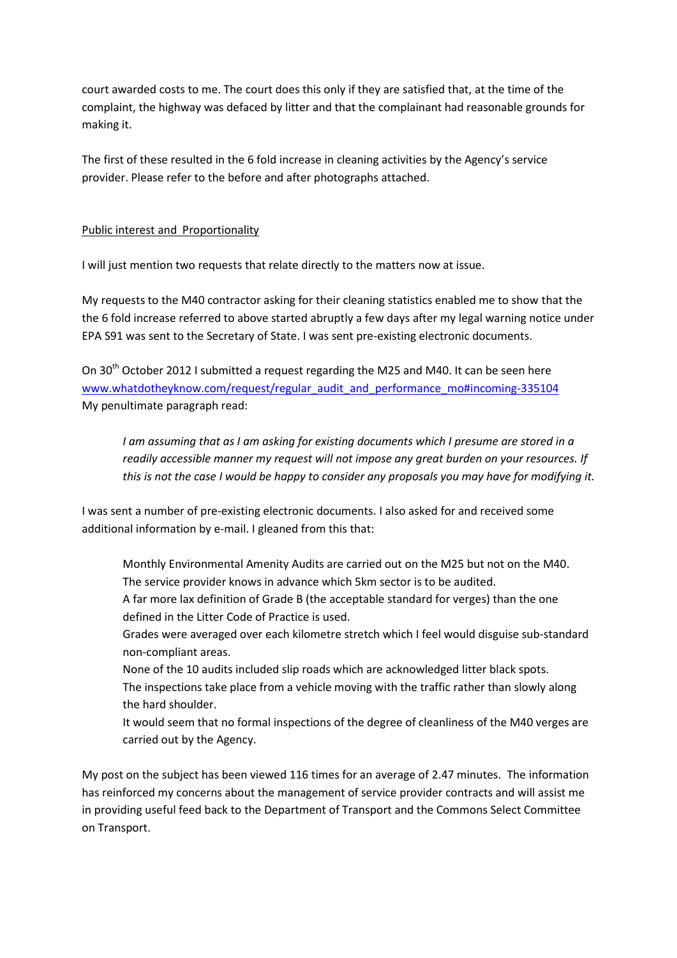court awarded costs to me. The court does this only if they are satisfied that, at the time of the complaint, the highway was defaced by litter and that the complainant had reasonable grounds for making it.

The first of these resulted in the 6 fold increase in cleaning activities by the Agency's service provider. Please refer to the before and after photographs attached.

## Public interest and Proportionality

I will just mention two requests that relate directly to the matters now at issue.

My requests to the M40 contractor asking for their cleaning statistics enabled me to show that the the 6 fold increase referred to above started abruptly a few days after my legal warning notice under EPA S91 was sent to the Secretary of State. I was sent pre-existing electronic documents.

On 30<sup>th</sup> October 2012 I submitted a request regarding the M25 and M40. It can be seen here [www.whatdotheyknow.com/request/regular\\_audit\\_and\\_performance\\_mo#incoming-335104](http://www.whatdotheyknow.com/request/regular_audit_and_performance_mo#incoming-335104) My penultimate paragraph read:

*I am assuming that as I am asking for existing documents which I presume are stored in a readily accessible manner my request will not impose any great burden on your resources. If this is not the case I would be happy to consider any proposals you may have for modifying it.*

I was sent a number of pre-existing electronic documents. I also asked for and received some additional information by e-mail. I gleaned from this that:

Monthly Environmental Amenity Audits are carried out on the M25 but not on the M40. The service provider knows in advance which 5km sector is to be audited.

A far more lax definition of Grade B (the acceptable standard for verges) than the one defined in the Litter Code of Practice is used.

Grades were averaged over each kilometre stretch which I feel would disguise sub-standard non-compliant areas.

None of the 10 audits included slip roads which are acknowledged litter black spots. The inspections take place from a vehicle moving with the traffic rather than slowly along the hard shoulder.

It would seem that no formal inspections of the degree of cleanliness of the M40 verges are carried out by the Agency.

My post on the subject has been viewed 116 times for an average of 2.47 minutes. The information has reinforced my concerns about the management of service provider contracts and will assist me in providing useful feed back to the Department of Transport and the Commons Select Committee on Transport.